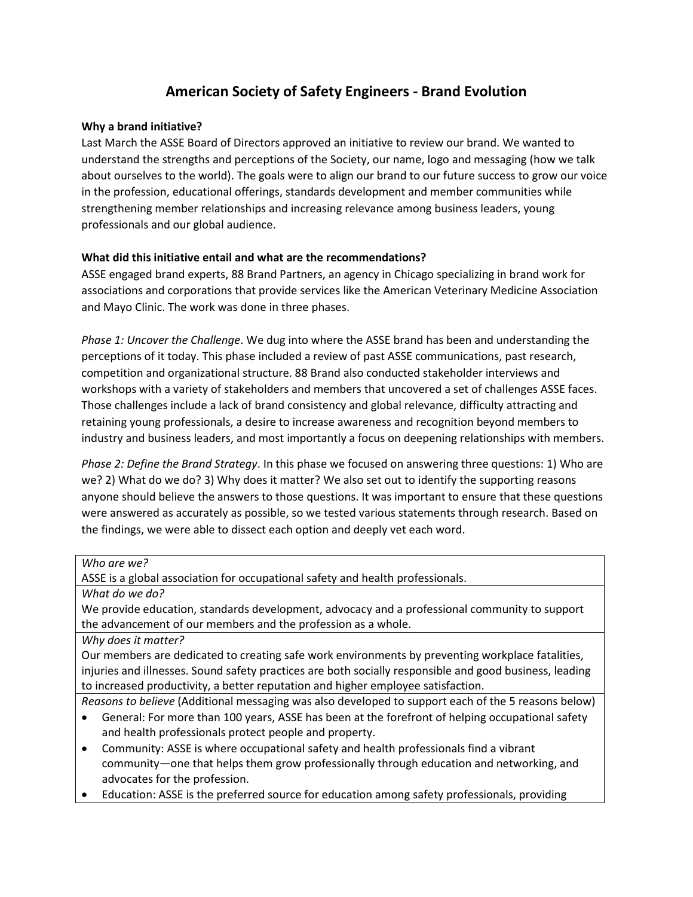## **American Society of Safety Engineers - Brand Evolution**

## **Why a brand initiative?**

Last March the ASSE Board of Directors approved an initiative to review our brand. We wanted to understand the strengths and perceptions of the Society, our name, logo and messaging (how we talk about ourselves to the world). The goals were to align our brand to our future success to grow our voice in the profession, educational offerings, standards development and member communities while strengthening member relationships and increasing relevance among business leaders, young professionals and our global audience.

## **What did this initiative entail and what are the recommendations?**

ASSE engaged brand experts, 88 Brand Partners, an agency in Chicago specializing in brand work for associations and corporations that provide services like the American Veterinary Medicine Association and Mayo Clinic. The work was done in three phases.

*Phase 1: Uncover the Challenge*. We dug into where the ASSE brand has been and understanding the perceptions of it today. This phase included a review of past ASSE communications, past research, competition and organizational structure. 88 Brand also conducted stakeholder interviews and workshops with a variety of stakeholders and members that uncovered a set of challenges ASSE faces. Those challenges include a lack of brand consistency and global relevance, difficulty attracting and retaining young professionals, a desire to increase awareness and recognition beyond members to industry and business leaders, and most importantly a focus on deepening relationships with members.

*Phase 2: Define the Brand Strategy*. In this phase we focused on answering three questions: 1) Who are we? 2) What do we do? 3) Why does it matter? We also set out to identify the supporting reasons anyone should believe the answers to those questions. It was important to ensure that these questions were answered as accurately as possible, so we tested various statements through research. Based on the findings, we were able to dissect each option and deeply vet each word.

| Who are we?                                                                                             |
|---------------------------------------------------------------------------------------------------------|
| ASSE is a global association for occupational safety and health professionals.                          |
| What do we do?                                                                                          |
| We provide education, standards development, advocacy and a professional community to support           |
| the advancement of our members and the profession as a whole.                                           |
| Why does it matter?                                                                                     |
| Our members are dedicated to creating safe work environments by preventing workplace fatalities,        |
| injuries and illnesses. Sound safety practices are both socially responsible and good business, leading |
| to increased productivity, a better reputation and higher employee satisfaction.                        |
| Reasons to believe (Additional messaging was also developed to support each of the 5 reasons below)     |
| General: For more than 100 years, ASSE has been at the forefront of helping occupational safety         |
| and health professionals protect people and property.                                                   |
| Community: ASSE is where occupational safety and health professionals find a vibrant<br>$\bullet$       |
| community—one that helps them grow professionally through education and networking, and                 |
| advocates for the profession.                                                                           |
| Education: ASSE is the preferred source for education among safety professionals, providing             |
|                                                                                                         |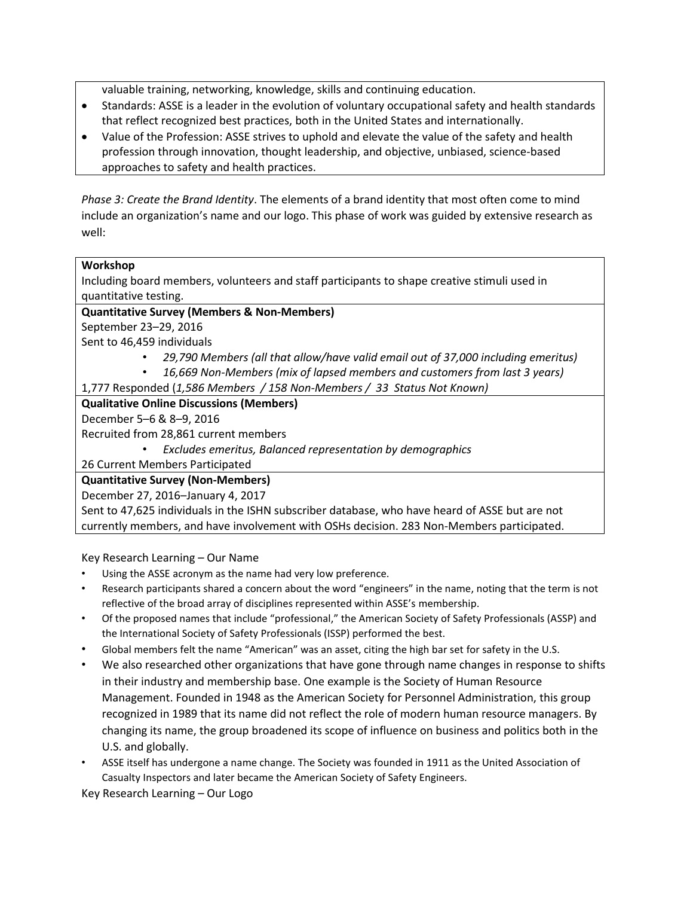valuable training, networking, knowledge, skills and continuing education.

- Standards: ASSE is a leader in the evolution of voluntary occupational safety and health standards that reflect recognized best practices, both in the United States and internationally.
- Value of the Profession: ASSE strives to uphold and elevate the value of the safety and health profession through innovation, thought leadership, and objective, unbiased, science-based approaches to safety and health practices.

*Phase 3: Create the Brand Identity*. The elements of a brand identity that most often come to mind include an organization's name and our logo. This phase of work was guided by extensive research as well:

## **Workshop**

Including board members, volunteers and staff participants to shape creative stimuli used in quantitative testing.

## **Quantitative Survey (Members & Non-Members)**

September 23–29, 2016

Sent to 46,459 individuals

- *29,790 Members (all that allow/have valid email out of 37,000 including emeritus)*
- *16,669 Non-Members (mix of lapsed members and customers from last 3 years)*
- 1,777 Responded (*1,586 Members / 158 Non-Members / 33 Status Not Known)*

## **Qualitative Online Discussions (Members)**

December 5–6 & 8–9, 2016

Recruited from 28,861 current members

• *Excludes emeritus, Balanced representation by demographics*

26 Current Members Participated

## **Quantitative Survey (Non-Members)**

December 27, 2016–January 4, 2017

Sent to 47,625 individuals in the ISHN subscriber database, who have heard of ASSE but are not currently members, and have involvement with OSHs decision. 283 Non-Members participated.

Key Research Learning – Our Name

- Using the ASSE acronym as the name had very low preference.
- Research participants shared a concern about the word "engineers" in the name, noting that the term is not reflective of the broad array of disciplines represented within ASSE's membership.
- Of the proposed names that include "professional," the American Society of Safety Professionals (ASSP) and the International Society of Safety Professionals (ISSP) performed the best.
- Global members felt the name "American" was an asset, citing the high bar set for safety in the U.S.
- We also researched other organizations that have gone through name changes in response to shifts in their industry and membership base. One example is the Society of Human Resource Management. Founded in 1948 as the American Society for Personnel Administration, this group recognized in 1989 that its name did not reflect the role of modern human resource managers. By changing its name, the group broadened its scope of influence on business and politics both in the U.S. and globally.
- ASSE itself has undergone a name change. The Society was founded in 1911 as the United Association of Casualty Inspectors and later became the American Society of Safety Engineers.

Key Research Learning – Our Logo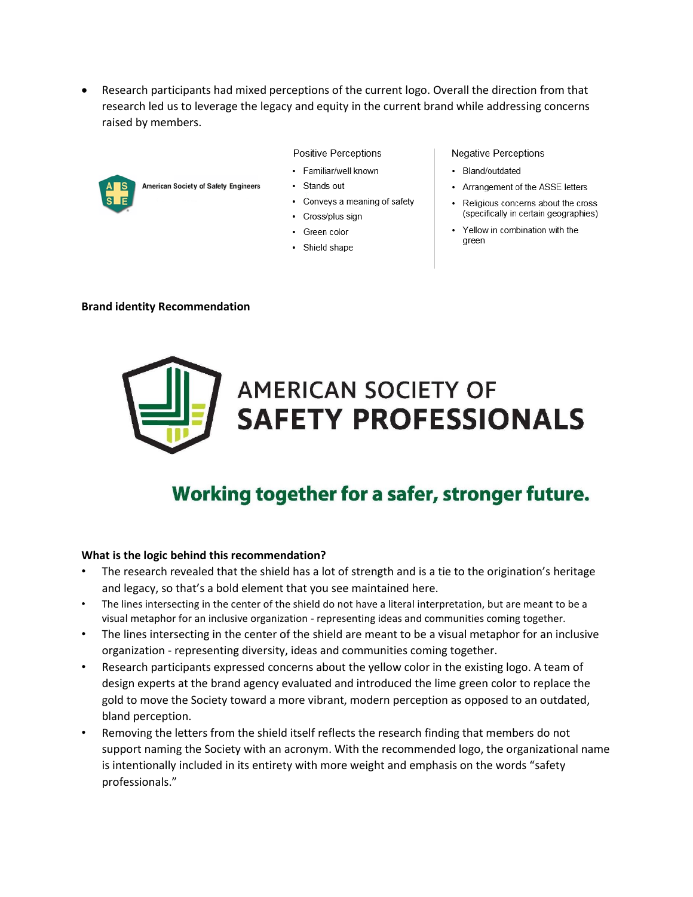Research participants had mixed perceptions of the current logo. Overall the direction from that research led us to leverage the legacy and equity in the current brand while addressing concerns raised by members.



#### **Positive Perceptions**

- Familiar/well known
- Stands out
- Conveys a meaning of safety
- Cross/plus sign
- Green color
- Shield shape

#### **Negative Perceptions**

- Bland/outdated
- Arrangement of the ASSE letters
- Religious concerns about the cross (specifically in certain geographies)
- Yellow in combination with the green

#### **Brand identity Recommendation**



# Working together for a safer, stronger future.

#### **What is the logic behind this recommendation?**

- The research revealed that the shield has a lot of strength and is a tie to the origination's heritage and legacy, so that's a bold element that you see maintained here.
- The lines intersecting in the center of the shield do not have a literal interpretation, but are meant to be a visual metaphor for an inclusive organization - representing ideas and communities coming together.
- The lines intersecting in the center of the shield are meant to be a visual metaphor for an inclusive organization - representing diversity, ideas and communities coming together.
- Research participants expressed concerns about the yellow color in the existing logo. A team of design experts at the brand agency evaluated and introduced the lime green color to replace the gold to move the Society toward a more vibrant, modern perception as opposed to an outdated, bland perception.
- Removing the letters from the shield itself reflects the research finding that members do not support naming the Society with an acronym. With the recommended logo, the organizational name is intentionally included in its entirety with more weight and emphasis on the words "safety professionals."